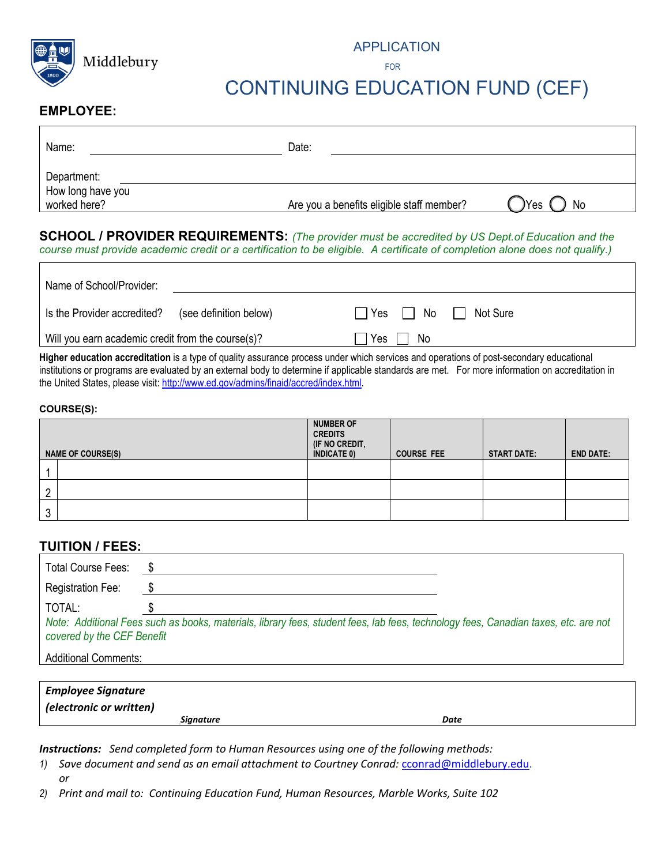

#### APPLICATION

**FOR** the contract of the contract of the contract of the contract of the contract of the contract of the contract of the contract of the contract of the contract of the contract of the contract of the contract of the cont

# CONTINUING EDUCATION FUND (CEF)

#### **EMPLOYEE:**

| Name:                             | Date:                                     |                        |
|-----------------------------------|-------------------------------------------|------------------------|
| Department:                       |                                           |                        |
| How long have you<br>worked here? | Are you a benefits eligible staff member? | <sup>N</sup> Yes<br>No |

#### **SCHOOL / PROVIDER REQUIREMENTS:** *(The provider must be accredited by US Dept.of Education and the course must provide academic credit or a certification to be eligible. A certificate of completion alone does not qualify.)*

| Name of School/Provider:                              |                                                     |
|-------------------------------------------------------|-----------------------------------------------------|
| Is the Provider accredited?<br>(see definition below) | $\Box$ Yes $\Box$<br>No   <br><sup>1</sup> Not Sure |
| Will you earn academic credit from the course(s)?     | Yes<br>No.                                          |

**Higher education accreditation** is a type of quality assurance process under which services and operations of post-secondary educational institutions or programs are evaluated by an external body to determine if applicable standards are met. For more information on accreditation in the United States, please visit[: http://www.ed.gov/admins/finaid/accred/index.html.](http://www.ed.gov/admins/finaid/accred/index.html)

#### **COURSE(S):**

|        | <b>NAME OF COURSE(S)</b> | <b>NUMBER OF</b><br><b>CREDITS</b><br>(IF NO CREDIT,<br><b>INDICATE 0)</b> | <b>COURSE FEE</b> | <b>START DATE:</b> | <b>END DATE:</b> |
|--------|--------------------------|----------------------------------------------------------------------------|-------------------|--------------------|------------------|
|        |                          |                                                                            |                   |                    |                  |
|        |                          |                                                                            |                   |                    |                  |
| ົ<br>N |                          |                                                                            |                   |                    |                  |

#### **TUITION / FEES:**

| Total Course Fees:                                                                                                                                                |  |  |  |  |
|-------------------------------------------------------------------------------------------------------------------------------------------------------------------|--|--|--|--|
| <b>Registration Fee:</b>                                                                                                                                          |  |  |  |  |
| TOTAL:                                                                                                                                                            |  |  |  |  |
| Note: Additional Fees such as books, materials, library fees, student fees, lab fees, technology fees, Canadian taxes, etc. are not<br>covered by the CEF Benefit |  |  |  |  |
| <b>Additional Comments:</b>                                                                                                                                       |  |  |  |  |

| Employee Signature      |      |
|-------------------------|------|
| (electronic or written) |      |
| Signature               | Date |

*Instructions: Send completed form to Human Resources using one of the following methods:*

- *1) Save document and send as an email attachment to Courtney Conrad:* [cconrad@middlebury.edu.](mailto:cconrad@middlebury.edu) *or*
- *2) Print and mail to: Continuing Education Fund, Human Resources, Marble Works, Suite 102*